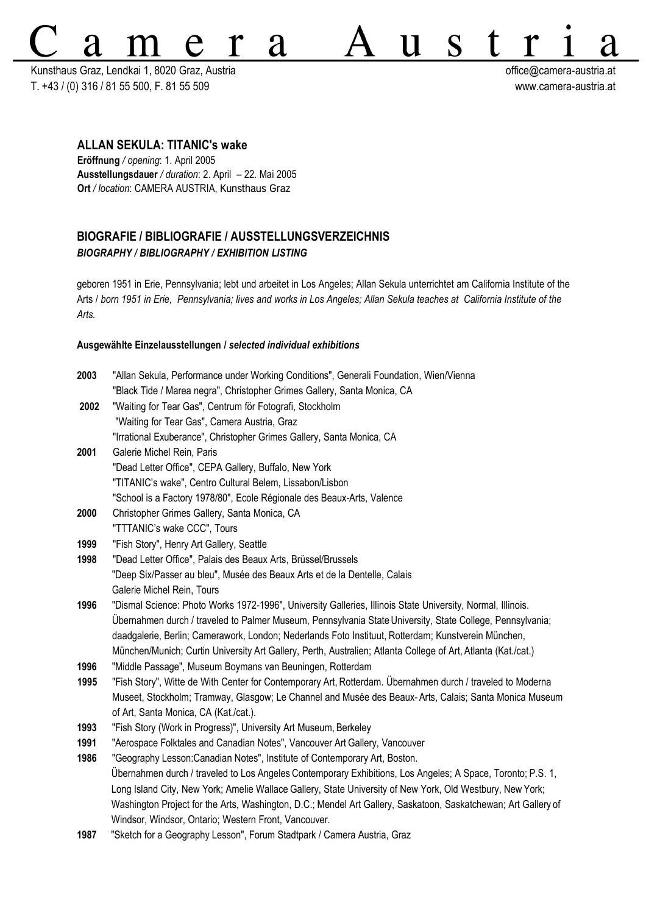Kunsthaus Graz, Lendkai 1, 8020 Graz, Austria **office austria austria** at T. +43 / (0) 316 / 81 55 500, F. 81 55 509 www.camera-austria.at

 $S$ 

Г

U

# **ALLAN SEKULA: TITANIC's wake**

**Eröffnung** */ opening*: 1. April 2005 **Ausstellungsdauer** */ duration*: 2. April – 22. Mai 2005 **Ort** */ location*: CAMERA AUSTRIA, Kunsthaus Graz

# **BIOGRAFIE / BIBLIOGRAFIE / AUSSTELLUNGSVERZEICHNIS** *BIOGRAPHY / BIBLIOGRAPHY / EXHIBITION LISTING*

a

geboren 1951 in Erie, Pennsylvania; lebt und arbeitet in Los Angeles; Allan Sekula unterrichtet am California Institute of the Arts / *born 1951 in Erie, Pennsylvania; lives and works in Los Angeles; Allan Sekula teaches at California Institute of the Arts.*

### **Ausgewählte Einzelausstellungen /** *selected individual exhibitions*

| 2003 | "Allan Sekula, Performance under Working Conditions", Generali Foundation, Wien/Vienna                         |
|------|----------------------------------------------------------------------------------------------------------------|
|      | "Black Tide / Marea negra", Christopher Grimes Gallery, Santa Monica, CA                                       |
| 2002 | "Waiting for Tear Gas", Centrum för Fotografi, Stockholm                                                       |
|      | "Waiting for Tear Gas", Camera Austria, Graz                                                                   |
|      | "Irrational Exuberance", Christopher Grimes Gallery, Santa Monica, CA                                          |
| 2001 | Galerie Michel Rein, Paris                                                                                     |
|      | "Dead Letter Office", CEPA Gallery, Buffalo, New York                                                          |
|      | "TITANIC's wake", Centro Cultural Belem, Lissabon/Lisbon                                                       |
|      | "School is a Factory 1978/80", Ecole Régionale des Beaux-Arts, Valence                                         |
| 2000 | Christopher Grimes Gallery, Santa Monica, CA                                                                   |
|      | "TTTANIC's wake CCC", Tours                                                                                    |
| 1999 | "Fish Story", Henry Art Gallery, Seattle                                                                       |
| 1998 | "Dead Letter Office", Palais des Beaux Arts, Brüssel/Brussels                                                  |
|      | "Deep Six/Passer au bleu", Musée des Beaux Arts et de la Dentelle, Calais                                      |
|      | Galerie Michel Rein, Tours                                                                                     |
| 1996 | "Dismal Science: Photo Works 1972-1996", University Galleries, Illinois State University, Normal, Illinois.    |
|      | Ubernahmen durch / traveled to Palmer Museum, Pennsylvania State University, State College, Pennsylvania;      |
|      | daadgalerie, Berlin; Camerawork, London; Nederlands Foto Instituut, Rotterdam; Kunstverein München,            |
|      | München/Munich; Curtin University Art Gallery, Perth, Australien; Atlanta College of Art, Atlanta (Kat./cat.)  |
| 1996 | "Middle Passage", Museum Boymans van Beuningen, Rotterdam                                                      |
| 1995 | "Fish Story", Witte de With Center for Contemporary Art, Rotterdam. Übernahmen durch / traveled to Moderna     |
|      | Museet, Stockholm; Tramway, Glasgow; Le Channel and Musée des Beaux-Arts, Calais; Santa Monica Museum          |
|      | of Art, Santa Monica, CA (Kat./cat.).                                                                          |
| 1993 | "Fish Story (Work in Progress)", University Art Museum, Berkeley                                               |
| 1991 | "Aerospace Folktales and Canadian Notes", Vancouver Art Gallery, Vancouver                                     |
| 1986 | "Geography Lesson: Canadian Notes", Institute of Contemporary Art, Boston.                                     |
|      | Ubernahmen durch / traveled to Los Angeles Contemporary Exhibitions, Los Angeles; A Space, Toronto; P.S. 1,    |
|      | Long Island City, New York; Amelie Wallace Gallery, State University of New York, Old Westbury, New York;      |
|      | Washington Project for the Arts, Washington, D.C.; Mendel Art Gallery, Saskatoon, Saskatchewan; Art Gallery of |
|      | Windsor, Windsor, Ontario; Western Front, Vancouver.                                                           |
| 1987 | "Sketch for a Geography Lesson", Forum Stadtpark / Camera Austria, Graz                                        |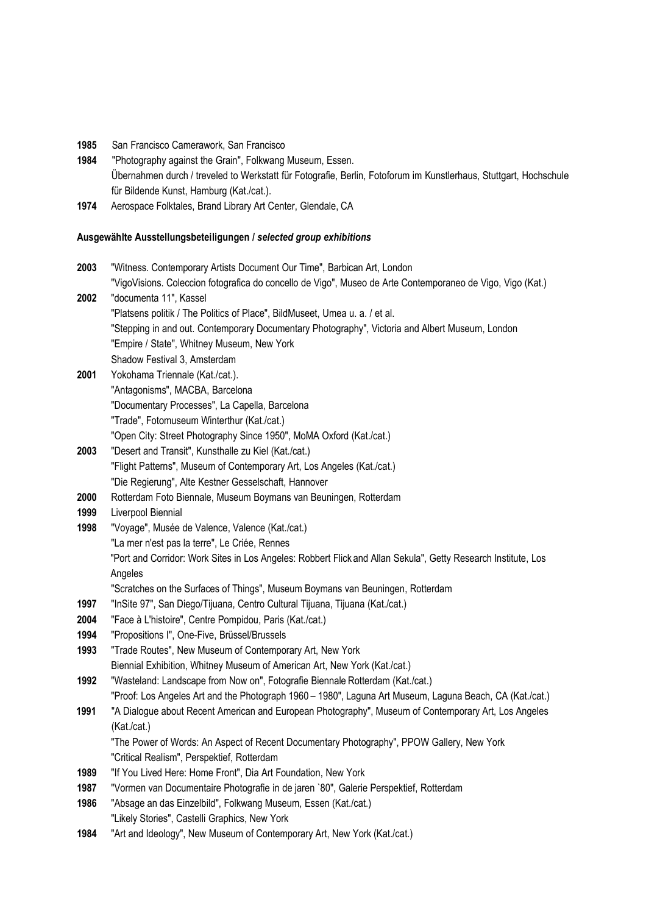- **1985** San Francisco Camerawork, San Francisco
- **1984** "Photography against the Grain", Folkwang Museum, Essen. Übernahmen durch / treveled to Werkstatt für Fotografie, Berlin, Fotoforum im Kunstlerhaus, Stuttgart, Hochschule für Bildende Kunst, Hamburg (Kat./cat.).
- **1974** Aerospace Folktales, Brand Library Art Center, Glendale, CA

## **Ausgewählte Ausstellungsbeteiligungen /** *selected group exhibitions*

| 2003         | "Witness. Contemporary Artists Document Our Time", Barbican Art, London                                       |
|--------------|---------------------------------------------------------------------------------------------------------------|
|              | "VigoVisions. Coleccion fotografica do concello de Vigo", Museo de Arte Contemporaneo de Vigo, Vigo (Kat.)    |
| 2002         | "documenta 11", Kassel                                                                                        |
|              | "Platsens politik / The Politics of Place", BildMuseet, Umea u. a. / et al.                                   |
|              | "Stepping in and out. Contemporary Documentary Photography", Victoria and Albert Museum, London               |
|              | "Empire / State", Whitney Museum, New York                                                                    |
|              | Shadow Festival 3, Amsterdam                                                                                  |
| 2001         | Yokohama Triennale (Kat./cat.).                                                                               |
|              | "Antagonisms", MACBA, Barcelona                                                                               |
|              | "Documentary Processes", La Capella, Barcelona                                                                |
|              | "Trade", Fotomuseum Winterthur (Kat./cat.)                                                                    |
|              | "Open City: Street Photography Since 1950", MoMA Oxford (Kat./cat.)                                           |
| 2003         | "Desert and Transit", Kunsthalle zu Kiel (Kat./cat.)                                                          |
|              | "Flight Patterns", Museum of Contemporary Art, Los Angeles (Kat./cat.)                                        |
|              | "Die Regierung", Alte Kestner Gesselschaft, Hannover                                                          |
| 2000         | Rotterdam Foto Biennale, Museum Boymans van Beuningen, Rotterdam                                              |
| 1999         | Liverpool Biennial                                                                                            |
| 1998         | "Voyage", Musée de Valence, Valence (Kat./cat.)                                                               |
|              | "La mer n'est pas la terre", Le Criée, Rennes                                                                 |
|              | "Port and Corridor: Work Sites in Los Angeles: Robbert Flick and Allan Sekula", Getty Research Institute, Los |
|              | Angeles                                                                                                       |
|              | "Scratches on the Surfaces of Things", Museum Boymans van Beuningen, Rotterdam                                |
| 1997         | "InSite 97", San Diego/Tijuana, Centro Cultural Tijuana, Tijuana (Kat./cat.)                                  |
| 2004         | "Face à L'histoire", Centre Pompidou, Paris (Kat./cat.)                                                       |
| 1994<br>1993 | "Propositions I", One-Five, Brüssel/Brussels<br>"Trade Routes", New Museum of Contemporary Art, New York      |
|              | Biennial Exhibition, Whitney Museum of American Art, New York (Kat./cat.)                                     |
| 1992         | "Wasteland: Landscape from Now on", Fotografie Biennale Rotterdam (Kat./cat.)                                 |
|              | "Proof: Los Angeles Art and the Photograph 1960 - 1980", Laguna Art Museum, Laguna Beach, CA (Kat./cat.)      |
| 1991         | "A Dialogue about Recent American and European Photography", Museum of Contemporary Art, Los Angeles          |
|              | (Kat./cat.)                                                                                                   |
|              | "The Power of Words: An Aspect of Recent Documentary Photography", PPOW Gallery, New York                     |
|              | "Critical Realism", Perspektief, Rotterdam                                                                    |
| 1989         | "If You Lived Here: Home Front", Dia Art Foundation, New York                                                 |
| 1987         | "Vormen van Documentaire Photografie in de jaren `80", Galerie Perspektief, Rotterdam                         |
| 1986         | "Absage an das Einzelbild", Folkwang Museum, Essen (Kat./cat.)                                                |
|              | "Likely Stories", Castelli Graphics, New York                                                                 |

**1984** "Art and Ideology", New Museum of Contemporary Art, New York (Kat./cat.)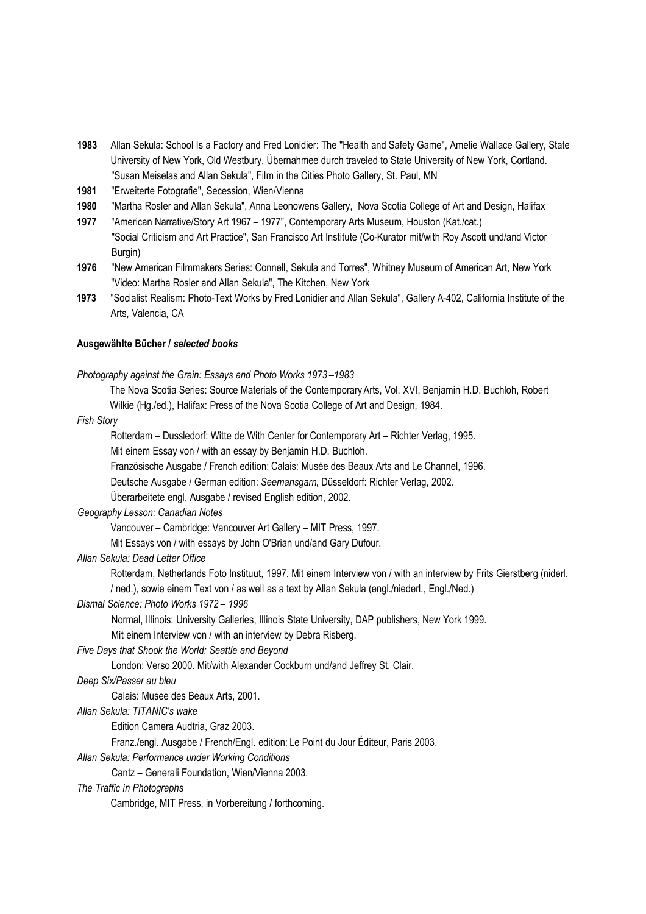- **1983** Allan Sekula: School Is a Factory and Fred Lonidier: The "Health and Safety Game", Amelie Wallace Gallery, State University of New York, Old Westbury. Übernahmee durch traveled to State University of New York, Cortland. "Susan Meiselas and Allan Sekula", Film in the Cities Photo Gallery, St. Paul, MN
- **1981** "Erweiterte Fotografie", Secession, Wien/Vienna
- **1980** "Martha Rosler and Allan Sekula", Anna Leonowens Gallery, Nova Scotia College of Art and Design, Halifax
- **1977** "American Narrative/Story Art 1967 1977", Contemporary Arts Museum, Houston (Kat./cat.) "Social Criticism and Art Practice", San Francisco Art Institute (Co-Kurator mit/with Roy Ascott und/and Victor Burgin)
- **1976** "New American Filmmakers Series: Connell, Sekula and Torres", Whitney Museum of American Art, New York "Video: Martha Rosler and Allan Sekula", The Kitchen, New York
- **1973** "Socialist Realism: Photo-Text Works by Fred Lonidier and Allan Sekula", Gallery A-402, California Institute of the Arts, Valencia, CA

#### **Ausgewählte Bücher /** *selected books*

*Photography against the Grain: Essays and Photo Works 1973 –1983*

The Nova Scotia Series: Source Materials of the ContemporaryArts, Vol. XVI, Benjamin H.D. Buchloh, Robert Wilkie (Hg./ed.), Halifax: Press of the Nova Scotia College of Art and Design, 1984.

### *Fish Story*

Rotterdam – Dussledorf: Witte de With Center for Contemporary Art – Richter Verlag, 1995.

Mit einem Essay von / with an essay by Benjamin H.D. Buchloh.

Französische Ausgabe / French edition: Calais: Musée des Beaux Arts and Le Channel, 1996.

Deutsche Ausgabe / German edition: *Seemansgarn*, Düsseldorf: Richter Verlag, 2002.

Überarbeitete engl. Ausgabe / revised English edition, 2002.

# *Geography Lesson: Canadian Notes*

Vancouver – Cambridge: Vancouver Art Gallery – MIT Press, 1997.

Mit Essays von / with essays by John O'Brian und/and Gary Dufour.

# *Allan Sekula: Dead Letter Office*

Rotterdam, Netherlands Foto Instituut, 1997. Mit einem Interview von / with an interview by Frits Gierstberg (niderl.

/ ned.), sowie einem Text von / as well as a text by Allan Sekula (engl./niederl., Engl./Ned.)

### *Dismal Science: Photo Works 1972 – 1996*

Normal, Illinois: University Galleries, Illinois State University, DAP publishers, New York 1999.

Mit einem Interview von / with an interview by Debra Risberg.

### *Five Days that Shook the World: Seattle and Beyond*

London: Verso 2000. Mit/with Alexander Cockburn und/and Jeffrey St. Clair.

*Deep Six/Passer au bleu*

Calais: Musee des Beaux Arts, 2001.

### *Allan Sekula: TITANIC's wake*

Edition Camera Audtria, Graz 2003.

Franz./engl. Ausgabe / French/Engl. edition: Le Point du Jour Éditeur, Paris 2003.

*Allan Sekula: Performance under Working Conditions*

Cantz – Generali Foundation, Wien/Vienna 2003.

### *The Traffic in Photographs*

Cambridge, MIT Press, in Vorbereitung / forthcoming.